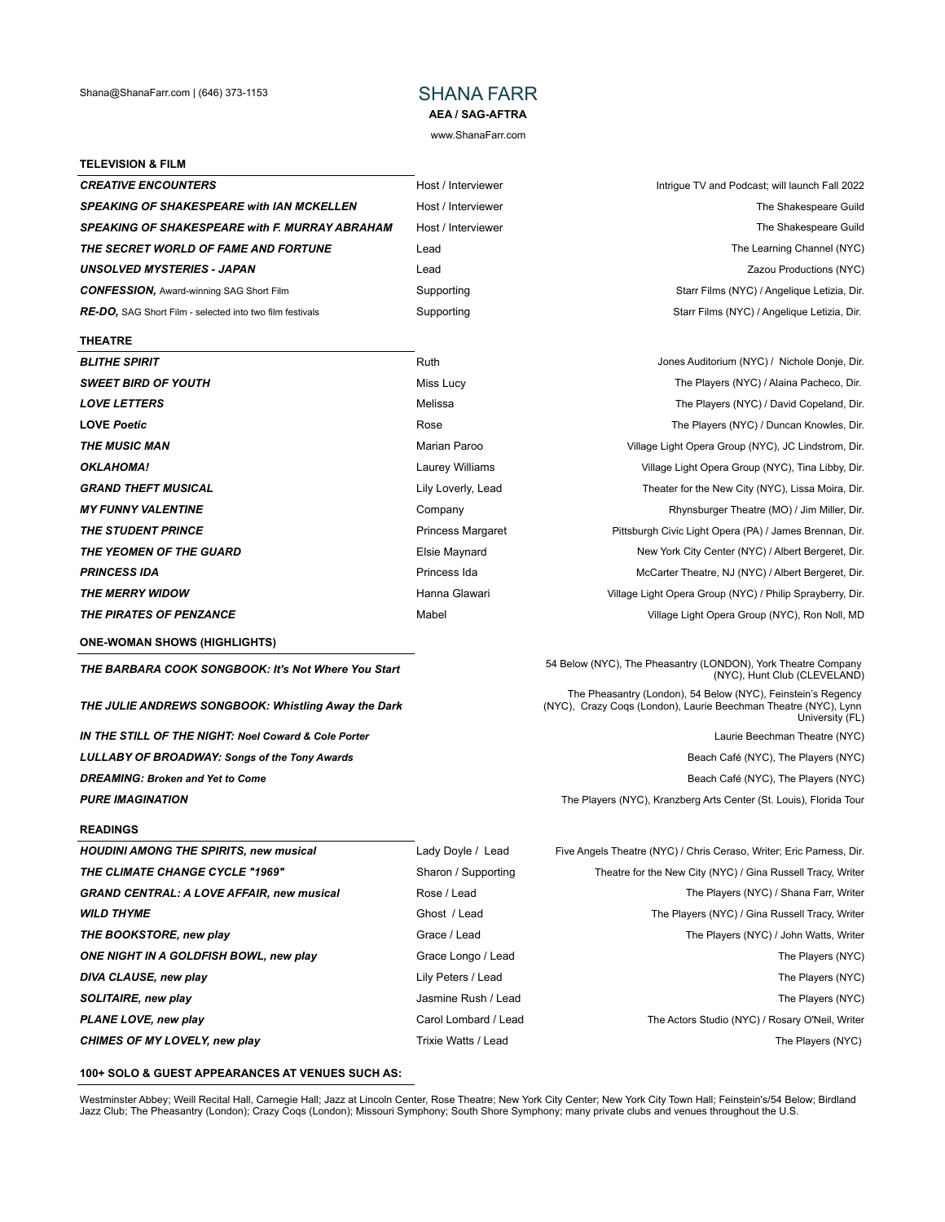## **AEA / SAG-AFTRA**

www.ShanaFarr.com

#### **TELEVISION & FILM**

| <b>CREATIVE ENCOUNTERS</b>                                      | Hos |
|-----------------------------------------------------------------|-----|
| <b>SPEAKING OF SHAKESPEARE with IAN MCKELLEN</b>                | Hos |
| <b>SPEAKING OF SHAKESPEARE with F. MURRAY ABRAHAM</b>           | Hos |
| THE SECRET WORLD OF FAME AND FORTUNE                            | Lea |
| <b>UNSOLVED MYSTERIES - JAPAN</b>                               | Lea |
| <b>CONFESSION, Award-winning SAG Short Film</b>                 | Sup |
| <b>RE-DO,</b> SAG Short Film - selected into two film festivals | Sup |

#### **THEATRE**

| <b>BLITHE SPIRIT</b>       | R  |
|----------------------------|----|
| <b>SWEET BIRD OF YOUTH</b> | M  |
| <b>LOVE LETTERS</b>        | М  |
| <b>LOVE Poetic</b>         | R) |
| <b>THE MUSIC MAN</b>       | м  |
| OKLAHOMA!                  | L٤ |
| <b>GRAND THEFT MUSICAL</b> | Li |
| <b>MY FUNNY VALENTINE</b>  | C. |
| <b>THE STUDENT PRINCE</b>  | Pı |
| THE YEOMEN OF THE GUARD    | EI |
| <b>PRINCESS IDA</b>        | Pı |
| <b>THE MERRY WIDOW</b>     | H  |
| THE PIRATES OF PENZANCE    | M  |
|                            |    |

**ONE-WOMAN SHOWS (HIGHLIGHTS)**

*THE JULIE ANDREWS SONGBOOK: Whistling Away the Dark*

**IN THE STILL OF THE NIGHT: Noel Coward & Cole Porter Laurie Beechman Theatre (NYC)** Laurie Beechman Theatre (NYC) LULLABY OF BROADWAY: Songs of the Tony Awards **Beach Café (NYC), The Players (NYC) Beach Café (NYC)**, The Players (NYC) **DREAMING: Broken and Yet to Come Broken and Yet to Come Beach Café (NYC), The Players (NYC) PURE IMAGINATION** The Players (NYC), Kranzberg Arts Center (St. Louis), Florida Tour

#### **READINGS**

| <b>HOUDINI AMONG THE SPIRITS, new musical</b>    |
|--------------------------------------------------|
| <b>THE CLIMATE CHANGE CYCLE "1969"</b>           |
| <b>GRAND CENTRAL: A LOVE AFFAIR, new musical</b> |
| <b>WILD THYME</b>                                |
| THE BOOKSTORE, new play                          |
| ONE NIGHT IN A GOLDFISH BOWL, new play           |
| DIVA CLAUSE, new play                            |
| SOLITAIRE, new play                              |
| PLANE LOVE, new play                             |
|                                                  |

**CHIMES OF MY LOVELY, new play Trixie Watts / Lead CHIMES OF MY LOVELY, new players (NYC)** 

# **CREATIVE ENTITY ENCOUNTERS** Intrigue TV and Podcast; will launch Fall 2022 **SPEAKING OF SHAKESPEARE WEIGHT WEIGHT WEIGHT AND THE Shakespeare Guild SPEAKING OF SHAKESPEARE GUILD ARRAY ABRAHAMENT CONSUMING THE Shakespeare Guild The Learning Channel (NYC)** The Learning Channel (NYC) **UNISOLVED MISSOLVED MISSOLVED AND LEAD AND LEAD AND LEAD AND LEAD AND LEAD AND LEAD AND LEAD AND LEAD AND LEAD AND LEAD AND LEAD AND LEAD AND LEAD AND LEAD AND LEAD AND LEAD AND LEAD AND LEAD AND LEAD AND LEAD AND LEAD AN CONFESSION,** *CONFESSION, CONFESSION, START Films* **(NYC) / Angelique Letizia, Dir. Proporting Films (NYC) / Angelique Letizia, Dir.** Starr Films (NYC) / Angelique Letizia, Dir.

*BLITHE SPIRIT* Ruth Jones Auditorium (NYC) / Nichole Donje, Dir. **SWEET BIRD OF THE Players (NYC) / Alaina Pacheco, Dir.** The Players (NYC) / Alaina Pacheco, Dir. **LOVE LATTERS** MELISSA THE Players (NYC) / David Copeland, Dir. **LOVE 2008** *Postal COVE <b>Players* (NYC) / Duncan Knowles, Dir. **THE MUSIC MANA MARK MANUSIC MANUSIC MANUSIC MANUSIC MANUSIC MANUSIC MANUSIC MANUSIC MANUSIC MANUSIC MANUSIC MA** aurey Williams **Cauce And Amazia Control Control Control** Village Light Opera Group (NYC), Tina Libby, Dir. **FRAND THEATER MUSICAL THEFT MUSICAL THEFT MUSICAL CONSTRANDUM** Theater for the New City (NYC), Lissa Moira, Dir **MY FUNNY FUNNY Rhynsburger Theatre (MO) / Jim Miller, Dir. THE STUDE STATE STUDE PRINCES STATES IN A PRINCESS Margaret Princess Margaret Communist Pittsburgh Civic Light Opera (PA) / James Brennan, Dir. THE YEARDARD OF THE YEARDARDARY OF THE GUARD** OF THE GUARDARDARDIES MEDITION OF THE GUARDARY OF THE GUARDARY OF T PRINCESS Ida **PRINCESS IDA** McCarter Theatre, NJ (NYC) / Albert Bergeret, Dir. anna Glawari **The Merry Willage Light Opera Group (NYC)** / Philip Sprayberry, Dir. **THE PIRATES OF PIRATES OF PIRATES OF PIRATES OF PIRATES OF PIRATES OF PIRATES OF PIRATES OF PIRATES OF PIRATES** 

**THE BARBARA COOK SONGBOOK: It's Not Where You Start** 54 Below (NYC), The Pheasantry (LONDON), York Theatre Company (NYC), Hunt Club (CLEVELAND)

The Pheasantry (London), 54 Below (NYC), Feinstein's Regency (NYC), Crazy Coqs (London), Laurie Beechman Theatre (NYC), Lynn University (FL)

Lady Doyle / Lead Five Angels Theatre (NYC) / Chris Ceraso, Writer; Eric Parness, Dir. **Sharon / Supporting Theatre for the New City (NYC) / Gina Russell Tracy, Writer** Rose / Lead The Players (NYC) / Shana Farr, Writer **Ghost / Lead The Players (NYC) / Gina Russell Tracy, Writer** Grace / Lead The Players (NYC) / John Watts, Writer **One Congo / Lead The Players (NYC)** Lily Peters / Lead **DIVA CLAUSE CONSTRUCTS** The Players (NYC) Jasmine Rush / Lead The Players (NYC)

*PLANE LOVE, new play* Carol Lombard / Lead The Actors Studio (NYC) / Rosary O'Neil, Writer

#### **100+ SOLO & GUEST APPEARANCES AT VENUES SUCH AS:**

Westminster Abbey; Weill Recital Hall, Carnegie Hall; Jazz at Lincoln Center, Rose Theatre; New York City Center; New York City Town Hall; Feinstein's/54 Below; Birdland Jazz Club; The Pheasantry (London); Crazy Coqs (London); Missouri Symphony; South Shore Symphony; many private clubs and venues throughout the U.S.